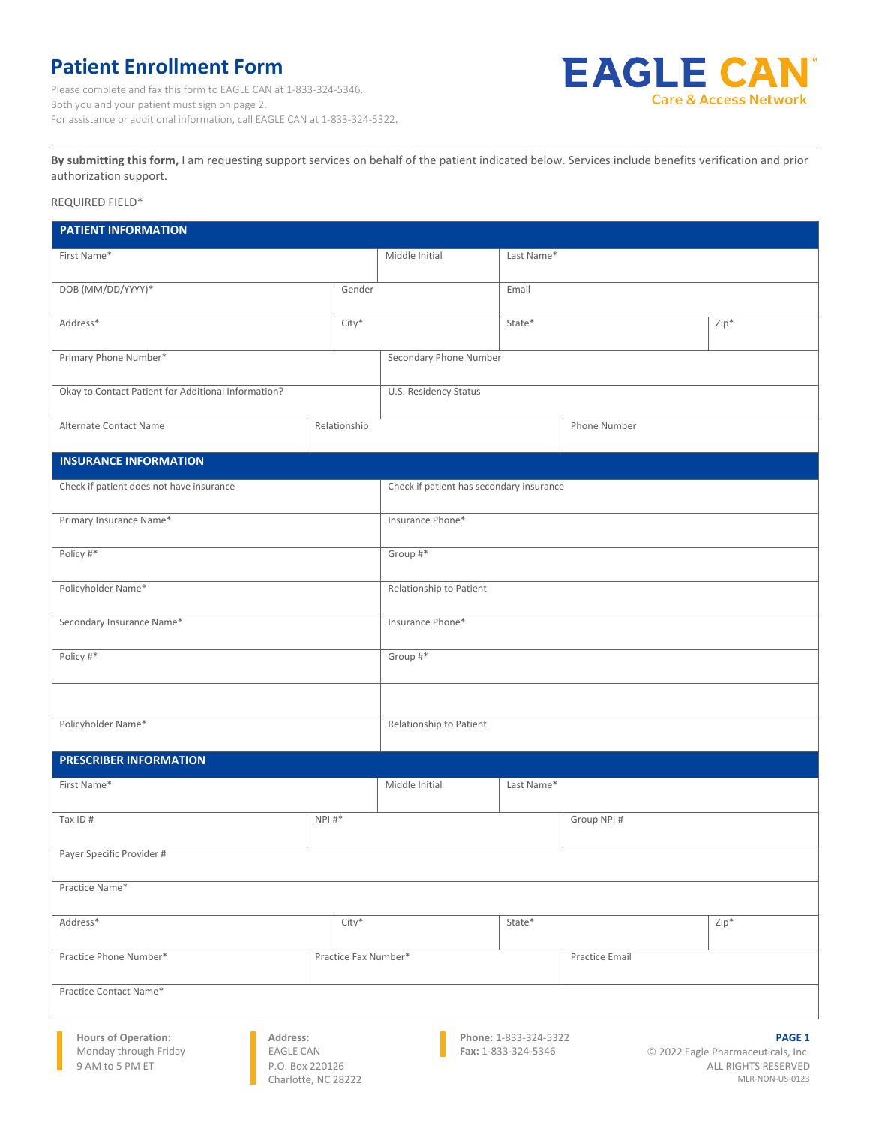## **Patient Enrollment Form**

Please complete and fax this form to EAGLE CAN at 1-833-324-5346. Both you and your patient must sign on page 2. For assistance or additional information, call EAGLE CAN at 1-833-324-5322.



**By submitting this form,** I am requesting support services on behalf of the patient indicated below. Services include benefits verification and prior authorization support.

## REQUIRED FIELD\*

| <b>PATIENT INFORMATION</b>                                                       |                       |                                          |              |                |        |  |
|----------------------------------------------------------------------------------|-----------------------|------------------------------------------|--------------|----------------|--------|--|
| First Name*                                                                      |                       | Middle Initial                           | Last Name*   |                |        |  |
| DOB (MM/DD/YYYY)*                                                                | Gender                |                                          | Email        |                |        |  |
| Address*<br>City*                                                                |                       |                                          | State*       |                | Zip*   |  |
| Primary Phone Number*                                                            |                       | Secondary Phone Number                   |              |                |        |  |
| Okay to Contact Patient for Additional Information?                              | U.S. Residency Status |                                          |              |                |        |  |
| Alternate Contact Name                                                           | Relationship          |                                          | Phone Number |                |        |  |
| <b>INSURANCE INFORMATION</b>                                                     |                       |                                          |              |                |        |  |
| Check if patient does not have insurance                                         |                       | Check if patient has secondary insurance |              |                |        |  |
| Primary Insurance Name*                                                          | Insurance Phone*      |                                          |              |                |        |  |
| Policy #*                                                                        |                       | Group #*                                 |              |                |        |  |
| Policyholder Name*                                                               |                       | Relationship to Patient                  |              |                |        |  |
| Secondary Insurance Name*                                                        |                       | Insurance Phone*                         |              |                |        |  |
| Policy #*                                                                        |                       | Group #*                                 |              |                |        |  |
|                                                                                  |                       |                                          |              |                |        |  |
| Policyholder Name*                                                               |                       | Relationship to Patient                  |              |                |        |  |
| <b>PRESCRIBER INFORMATION</b>                                                    |                       |                                          |              |                |        |  |
| First Name*                                                                      |                       | Middle Initial                           | Last Name*   |                |        |  |
| Tax ID #                                                                         | $NPI #*$              |                                          |              | Group NPI #    |        |  |
| Payer Specific Provider #                                                        |                       |                                          |              |                |        |  |
| Practice Name*                                                                   |                       |                                          |              |                |        |  |
| Address*                                                                         | $City*$               |                                          | State*       |                | $Zip*$ |  |
| Practice Phone Number*                                                           | Practice Fax Number*  |                                          |              | Practice Email |        |  |
| Practice Contact Name*                                                           |                       |                                          |              |                |        |  |
| <b>Hours of Operation:</b><br>Address:<br>Phone: 1-833-324-5322<br><b>PAGE 1</b> |                       |                                          |              |                |        |  |

Monday through Friday 9 AM to 5 PM ET

EAGLE CAN P.O. Box 220126 Charlotte, NC 28222 Fax: 1-833-324-5346

© 2022 Eagle Pharmaceuticals, Inc. ALL RIGHTS RESERVED MLR-NON-US-0123